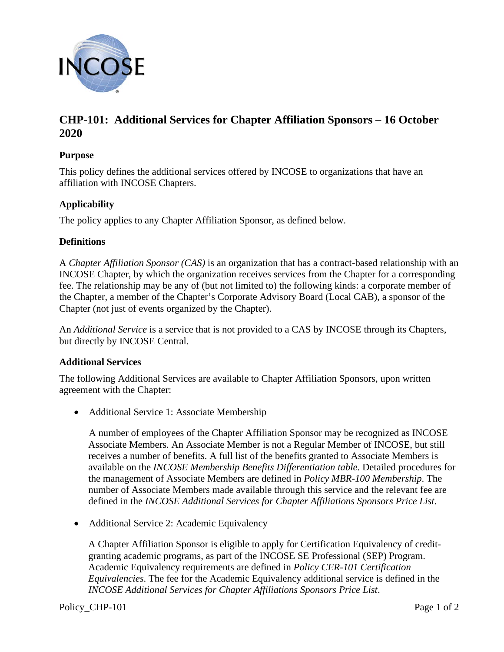

# **CHP-101: Additional Services for Chapter Affiliation Sponsors – 16 October 2020**

### **Purpose**

This policy defines the additional services offered by INCOSE to organizations that have an affiliation with INCOSE Chapters.

## **Applicability**

The policy applies to any Chapter Affiliation Sponsor, as defined below.

#### **Definitions**

A *Chapter Affiliation Sponsor (CAS)* is an organization that has a contract-based relationship with an INCOSE Chapter, by which the organization receives services from the Chapter for a corresponding fee. The relationship may be any of (but not limited to) the following kinds: a corporate member of the Chapter, a member of the Chapter's Corporate Advisory Board (Local CAB), a sponsor of the Chapter (not just of events organized by the Chapter).

An *Additional Service* is a service that is not provided to a CAS by INCOSE through its Chapters, but directly by INCOSE Central.

#### **Additional Services**

The following Additional Services are available to Chapter Affiliation Sponsors, upon written agreement with the Chapter:

• Additional Service 1: Associate Membership

A number of employees of the Chapter Affiliation Sponsor may be recognized as INCOSE Associate Members. An Associate Member is not a Regular Member of INCOSE, but still receives a number of benefits. A full list of the benefits granted to Associate Members is available on the *INCOSE Membership Benefits Differentiation table*. Detailed procedures for the management of Associate Members are defined in *Policy MBR-100 Membership*. The number of Associate Members made available through this service and the relevant fee are defined in the *INCOSE Additional Services for Chapter Affiliations Sponsors Price List*.

• Additional Service 2: Academic Equivalency

A Chapter Affiliation Sponsor is eligible to apply for Certification Equivalency of creditgranting academic programs, as part of the INCOSE SE Professional (SEP) Program. Academic Equivalency requirements are defined in *Policy CER-101 Certification Equivalencies*. The fee for the Academic Equivalency additional service is defined in the *INCOSE Additional Services for Chapter Affiliations Sponsors Price List*.